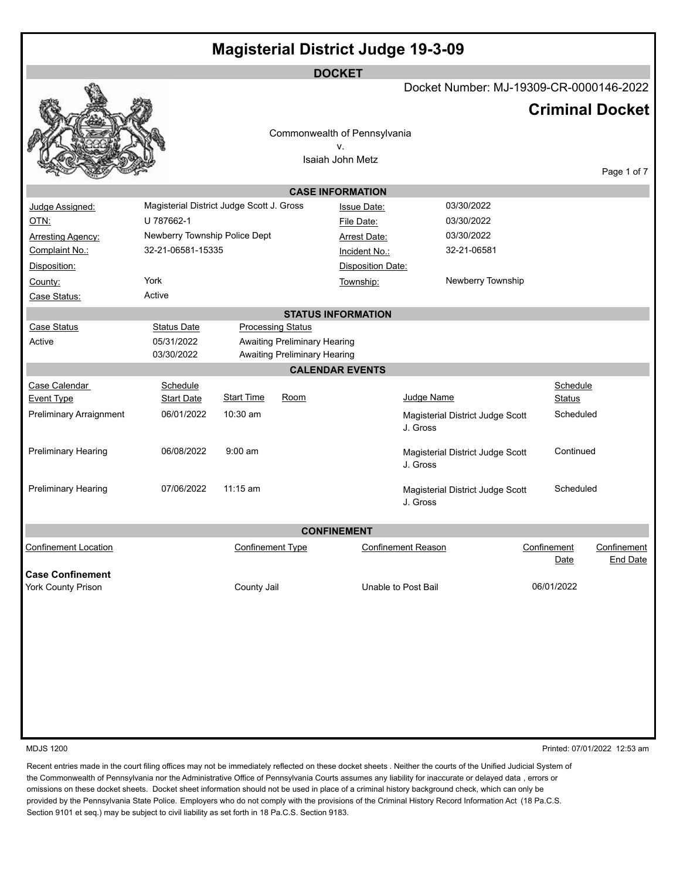| <b>DOCKET</b><br>Docket Number: MJ-19309-CR-0000146-2022<br><b>Criminal Docket</b><br>Commonwealth of Pennsylvania<br>v.<br>Isaiah John Metz<br><b>CASE INFORMATION</b><br>Magisterial District Judge Scott J. Gross<br>03/30/2022<br>Judge Assigned:<br><b>Issue Date:</b><br>U 787662-1<br>OTN:<br>03/30/2022<br>File Date:<br>Newberry Township Police Dept<br>03/30/2022<br><b>Arresting Agency:</b><br><b>Arrest Date:</b><br>32-21-06581-15335<br>Complaint No.:<br>32-21-06581<br>Incident No.:<br>Disposition:<br><b>Disposition Date:</b><br>York<br>Newberry Township<br>Township:<br>County:<br>Active<br>Case Status:<br><b>STATUS INFORMATION</b><br><b>Case Status</b><br><b>Status Date</b><br><b>Processing Status</b><br>05/31/2022<br><b>Awaiting Preliminary Hearing</b><br>Active<br><b>Awaiting Preliminary Hearing</b><br>03/30/2022<br><b>CALENDAR EVENTS</b><br>Case Calendar<br>Schedule<br>Schedule<br><b>Start Time</b><br>Judge Name<br>Room<br><b>Start Date</b><br><b>Event Type</b><br>Status<br>10:30 am<br><b>Preliminary Arraignment</b><br>06/01/2022<br>Scheduled<br>Magisterial District Judge Scott<br>J. Gross<br>$9:00$ am<br><b>Preliminary Hearing</b><br>06/08/2022<br>Continued<br>Magisterial District Judge Scott<br>J. Gross<br><b>Preliminary Hearing</b><br>07/06/2022<br>$11:15$ am<br>Scheduled<br>Magisterial District Judge Scott<br>J. Gross<br><b>CONFINEMENT</b><br><b>Confinement Type</b><br><b>Confinement Reason</b><br>Confinement<br>Confinement<br>Date | <b>Magisterial District Judge 19-3-09</b> |  |  |  |  |  |  |  |                 |  |  |
|------------------------------------------------------------------------------------------------------------------------------------------------------------------------------------------------------------------------------------------------------------------------------------------------------------------------------------------------------------------------------------------------------------------------------------------------------------------------------------------------------------------------------------------------------------------------------------------------------------------------------------------------------------------------------------------------------------------------------------------------------------------------------------------------------------------------------------------------------------------------------------------------------------------------------------------------------------------------------------------------------------------------------------------------------------------------------------------------------------------------------------------------------------------------------------------------------------------------------------------------------------------------------------------------------------------------------------------------------------------------------------------------------------------------------------------------------------------------------------------------------------------------|-------------------------------------------|--|--|--|--|--|--|--|-----------------|--|--|
|                                                                                                                                                                                                                                                                                                                                                                                                                                                                                                                                                                                                                                                                                                                                                                                                                                                                                                                                                                                                                                                                                                                                                                                                                                                                                                                                                                                                                                                                                                                        |                                           |  |  |  |  |  |  |  |                 |  |  |
|                                                                                                                                                                                                                                                                                                                                                                                                                                                                                                                                                                                                                                                                                                                                                                                                                                                                                                                                                                                                                                                                                                                                                                                                                                                                                                                                                                                                                                                                                                                        |                                           |  |  |  |  |  |  |  |                 |  |  |
|                                                                                                                                                                                                                                                                                                                                                                                                                                                                                                                                                                                                                                                                                                                                                                                                                                                                                                                                                                                                                                                                                                                                                                                                                                                                                                                                                                                                                                                                                                                        |                                           |  |  |  |  |  |  |  |                 |  |  |
|                                                                                                                                                                                                                                                                                                                                                                                                                                                                                                                                                                                                                                                                                                                                                                                                                                                                                                                                                                                                                                                                                                                                                                                                                                                                                                                                                                                                                                                                                                                        |                                           |  |  |  |  |  |  |  |                 |  |  |
| <b>Confinement Location</b>                                                                                                                                                                                                                                                                                                                                                                                                                                                                                                                                                                                                                                                                                                                                                                                                                                                                                                                                                                                                                                                                                                                                                                                                                                                                                                                                                                                                                                                                                            |                                           |  |  |  |  |  |  |  | Page 1 of 7     |  |  |
|                                                                                                                                                                                                                                                                                                                                                                                                                                                                                                                                                                                                                                                                                                                                                                                                                                                                                                                                                                                                                                                                                                                                                                                                                                                                                                                                                                                                                                                                                                                        |                                           |  |  |  |  |  |  |  |                 |  |  |
|                                                                                                                                                                                                                                                                                                                                                                                                                                                                                                                                                                                                                                                                                                                                                                                                                                                                                                                                                                                                                                                                                                                                                                                                                                                                                                                                                                                                                                                                                                                        |                                           |  |  |  |  |  |  |  |                 |  |  |
|                                                                                                                                                                                                                                                                                                                                                                                                                                                                                                                                                                                                                                                                                                                                                                                                                                                                                                                                                                                                                                                                                                                                                                                                                                                                                                                                                                                                                                                                                                                        |                                           |  |  |  |  |  |  |  |                 |  |  |
|                                                                                                                                                                                                                                                                                                                                                                                                                                                                                                                                                                                                                                                                                                                                                                                                                                                                                                                                                                                                                                                                                                                                                                                                                                                                                                                                                                                                                                                                                                                        |                                           |  |  |  |  |  |  |  |                 |  |  |
|                                                                                                                                                                                                                                                                                                                                                                                                                                                                                                                                                                                                                                                                                                                                                                                                                                                                                                                                                                                                                                                                                                                                                                                                                                                                                                                                                                                                                                                                                                                        |                                           |  |  |  |  |  |  |  |                 |  |  |
| <b>Case Confinement</b>                                                                                                                                                                                                                                                                                                                                                                                                                                                                                                                                                                                                                                                                                                                                                                                                                                                                                                                                                                                                                                                                                                                                                                                                                                                                                                                                                                                                                                                                                                |                                           |  |  |  |  |  |  |  |                 |  |  |
|                                                                                                                                                                                                                                                                                                                                                                                                                                                                                                                                                                                                                                                                                                                                                                                                                                                                                                                                                                                                                                                                                                                                                                                                                                                                                                                                                                                                                                                                                                                        |                                           |  |  |  |  |  |  |  |                 |  |  |
|                                                                                                                                                                                                                                                                                                                                                                                                                                                                                                                                                                                                                                                                                                                                                                                                                                                                                                                                                                                                                                                                                                                                                                                                                                                                                                                                                                                                                                                                                                                        |                                           |  |  |  |  |  |  |  |                 |  |  |
|                                                                                                                                                                                                                                                                                                                                                                                                                                                                                                                                                                                                                                                                                                                                                                                                                                                                                                                                                                                                                                                                                                                                                                                                                                                                                                                                                                                                                                                                                                                        |                                           |  |  |  |  |  |  |  |                 |  |  |
|                                                                                                                                                                                                                                                                                                                                                                                                                                                                                                                                                                                                                                                                                                                                                                                                                                                                                                                                                                                                                                                                                                                                                                                                                                                                                                                                                                                                                                                                                                                        |                                           |  |  |  |  |  |  |  |                 |  |  |
|                                                                                                                                                                                                                                                                                                                                                                                                                                                                                                                                                                                                                                                                                                                                                                                                                                                                                                                                                                                                                                                                                                                                                                                                                                                                                                                                                                                                                                                                                                                        |                                           |  |  |  |  |  |  |  |                 |  |  |
|                                                                                                                                                                                                                                                                                                                                                                                                                                                                                                                                                                                                                                                                                                                                                                                                                                                                                                                                                                                                                                                                                                                                                                                                                                                                                                                                                                                                                                                                                                                        |                                           |  |  |  |  |  |  |  |                 |  |  |
|                                                                                                                                                                                                                                                                                                                                                                                                                                                                                                                                                                                                                                                                                                                                                                                                                                                                                                                                                                                                                                                                                                                                                                                                                                                                                                                                                                                                                                                                                                                        |                                           |  |  |  |  |  |  |  |                 |  |  |
|                                                                                                                                                                                                                                                                                                                                                                                                                                                                                                                                                                                                                                                                                                                                                                                                                                                                                                                                                                                                                                                                                                                                                                                                                                                                                                                                                                                                                                                                                                                        |                                           |  |  |  |  |  |  |  |                 |  |  |
|                                                                                                                                                                                                                                                                                                                                                                                                                                                                                                                                                                                                                                                                                                                                                                                                                                                                                                                                                                                                                                                                                                                                                                                                                                                                                                                                                                                                                                                                                                                        |                                           |  |  |  |  |  |  |  |                 |  |  |
|                                                                                                                                                                                                                                                                                                                                                                                                                                                                                                                                                                                                                                                                                                                                                                                                                                                                                                                                                                                                                                                                                                                                                                                                                                                                                                                                                                                                                                                                                                                        |                                           |  |  |  |  |  |  |  |                 |  |  |
|                                                                                                                                                                                                                                                                                                                                                                                                                                                                                                                                                                                                                                                                                                                                                                                                                                                                                                                                                                                                                                                                                                                                                                                                                                                                                                                                                                                                                                                                                                                        |                                           |  |  |  |  |  |  |  |                 |  |  |
|                                                                                                                                                                                                                                                                                                                                                                                                                                                                                                                                                                                                                                                                                                                                                                                                                                                                                                                                                                                                                                                                                                                                                                                                                                                                                                                                                                                                                                                                                                                        |                                           |  |  |  |  |  |  |  |                 |  |  |
|                                                                                                                                                                                                                                                                                                                                                                                                                                                                                                                                                                                                                                                                                                                                                                                                                                                                                                                                                                                                                                                                                                                                                                                                                                                                                                                                                                                                                                                                                                                        |                                           |  |  |  |  |  |  |  |                 |  |  |
|                                                                                                                                                                                                                                                                                                                                                                                                                                                                                                                                                                                                                                                                                                                                                                                                                                                                                                                                                                                                                                                                                                                                                                                                                                                                                                                                                                                                                                                                                                                        |                                           |  |  |  |  |  |  |  |                 |  |  |
|                                                                                                                                                                                                                                                                                                                                                                                                                                                                                                                                                                                                                                                                                                                                                                                                                                                                                                                                                                                                                                                                                                                                                                                                                                                                                                                                                                                                                                                                                                                        |                                           |  |  |  |  |  |  |  | <b>End Date</b> |  |  |
| 06/01/2022<br><b>York County Prison</b><br>County Jail<br>Unable to Post Bail                                                                                                                                                                                                                                                                                                                                                                                                                                                                                                                                                                                                                                                                                                                                                                                                                                                                                                                                                                                                                                                                                                                                                                                                                                                                                                                                                                                                                                          |                                           |  |  |  |  |  |  |  |                 |  |  |

MDJS 1200 Printed: 07/01/2022 12:53 am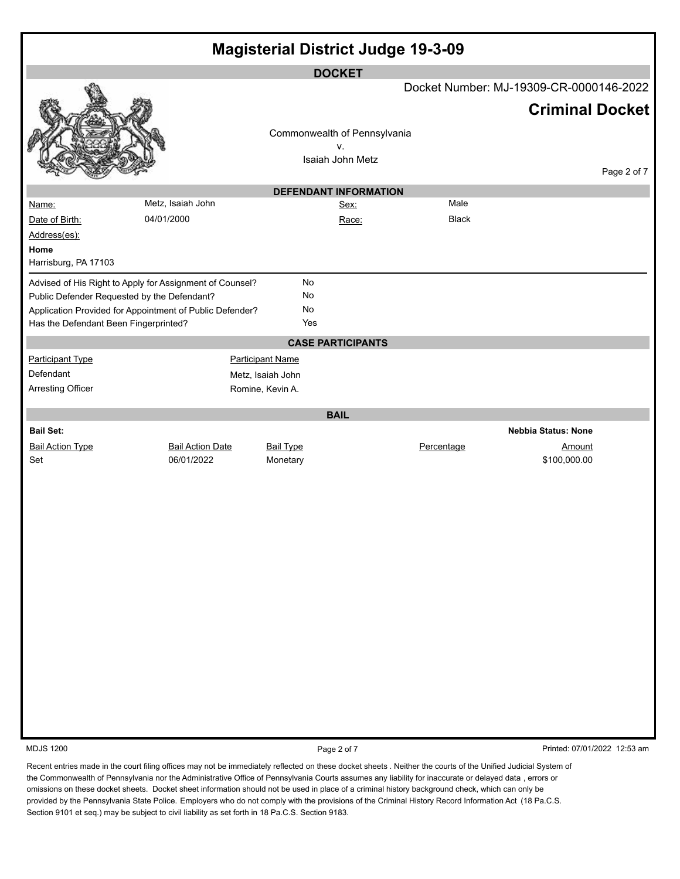| <b>Magisterial District Judge 19-3-09</b>                                                                                                                                         |                         |                         |                              |              |                                         |             |  |  |
|-----------------------------------------------------------------------------------------------------------------------------------------------------------------------------------|-------------------------|-------------------------|------------------------------|--------------|-----------------------------------------|-------------|--|--|
|                                                                                                                                                                                   |                         |                         | <b>DOCKET</b>                |              | Docket Number: MJ-19309-CR-0000146-2022 |             |  |  |
|                                                                                                                                                                                   |                         |                         |                              |              | <b>Criminal Docket</b>                  |             |  |  |
|                                                                                                                                                                                   |                         |                         | Commonwealth of Pennsylvania |              |                                         |             |  |  |
|                                                                                                                                                                                   |                         |                         | v.                           |              |                                         |             |  |  |
|                                                                                                                                                                                   |                         |                         | Isaiah John Metz             |              |                                         | Page 2 of 7 |  |  |
|                                                                                                                                                                                   |                         |                         | <b>DEFENDANT INFORMATION</b> |              |                                         |             |  |  |
| Name:                                                                                                                                                                             | Metz, Isaiah John       |                         | Sex:                         | Male         |                                         |             |  |  |
| Date of Birth:                                                                                                                                                                    | 04/01/2000              |                         | Race:                        | <b>Black</b> |                                         |             |  |  |
| Address(es):                                                                                                                                                                      |                         |                         |                              |              |                                         |             |  |  |
| Home<br>Harrisburg, PA 17103                                                                                                                                                      |                         |                         |                              |              |                                         |             |  |  |
| Advised of His Right to Apply for Assignment of Counsel?                                                                                                                          |                         | No                      |                              |              |                                         |             |  |  |
| Public Defender Requested by the Defendant?                                                                                                                                       |                         | <b>No</b>               |                              |              |                                         |             |  |  |
| Application Provided for Appointment of Public Defender?                                                                                                                          |                         | <b>No</b>               |                              |              |                                         |             |  |  |
| Has the Defendant Been Fingerprinted?                                                                                                                                             |                         | Yes                     |                              |              |                                         |             |  |  |
|                                                                                                                                                                                   |                         |                         | <b>CASE PARTICIPANTS</b>     |              |                                         |             |  |  |
| <b>Participant Type</b>                                                                                                                                                           |                         | <b>Participant Name</b> |                              |              |                                         |             |  |  |
| Defendant                                                                                                                                                                         |                         | Metz, Isaiah John       |                              |              |                                         |             |  |  |
| <b>Arresting Officer</b>                                                                                                                                                          |                         | Romine, Kevin A.        |                              |              |                                         |             |  |  |
|                                                                                                                                                                                   |                         |                         | <b>BAIL</b>                  |              |                                         |             |  |  |
| <b>Bail Set:</b>                                                                                                                                                                  |                         |                         |                              |              | <b>Nebbia Status: None</b>              |             |  |  |
| <b>Bail Action Type</b>                                                                                                                                                           | <b>Bail Action Date</b> | <b>Bail Type</b>        |                              | Percentage   | Amount                                  |             |  |  |
| Set                                                                                                                                                                               | 06/01/2022              | Monetary                |                              |              | \$100,000.00                            |             |  |  |
|                                                                                                                                                                                   |                         |                         |                              |              |                                         |             |  |  |
|                                                                                                                                                                                   |                         |                         |                              |              |                                         |             |  |  |
|                                                                                                                                                                                   |                         |                         |                              |              |                                         |             |  |  |
|                                                                                                                                                                                   |                         |                         |                              |              |                                         |             |  |  |
|                                                                                                                                                                                   |                         |                         |                              |              |                                         |             |  |  |
|                                                                                                                                                                                   |                         |                         |                              |              |                                         |             |  |  |
|                                                                                                                                                                                   |                         |                         |                              |              |                                         |             |  |  |
|                                                                                                                                                                                   |                         |                         |                              |              |                                         |             |  |  |
|                                                                                                                                                                                   |                         |                         |                              |              |                                         |             |  |  |
|                                                                                                                                                                                   |                         |                         |                              |              |                                         |             |  |  |
|                                                                                                                                                                                   |                         |                         |                              |              |                                         |             |  |  |
|                                                                                                                                                                                   |                         |                         |                              |              |                                         |             |  |  |
|                                                                                                                                                                                   |                         |                         |                              |              |                                         |             |  |  |
|                                                                                                                                                                                   |                         |                         |                              |              |                                         |             |  |  |
|                                                                                                                                                                                   |                         |                         |                              |              |                                         |             |  |  |
|                                                                                                                                                                                   |                         |                         |                              |              |                                         |             |  |  |
| <b>MDJS 1200</b><br>Recent entries made in the court filing offices may not be immediately reflected on these docket sheets. Neither the courts of the Unified Judicial System of |                         |                         | Page 2 of 7                  |              | Printed: 07/01/2022 12:53 am            |             |  |  |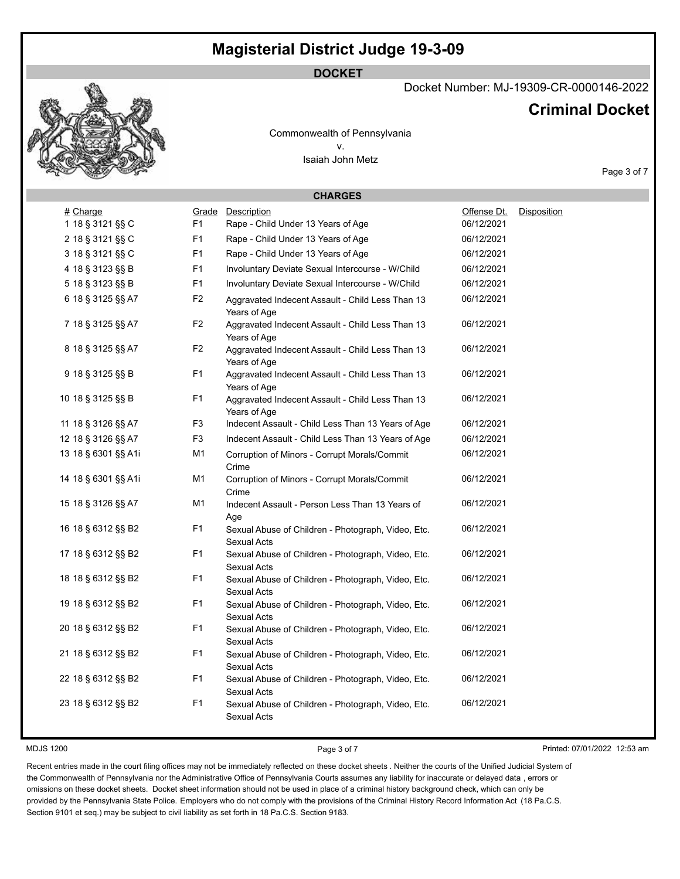**DOCKET**

## Docket Number: MJ-19309-CR-0000146-2022

## **Criminal Docket**

Commonwealth of Pennsylvania v. Isaiah John Metz

Page 3 of 7

|                     |                | <b>CHARGES</b>                                                           |             |             |
|---------------------|----------------|--------------------------------------------------------------------------|-------------|-------------|
| # Charge            | Grade          | Description                                                              | Offense Dt. | Disposition |
| 1 18 § 3121 §§ C    | F1             | Rape - Child Under 13 Years of Age                                       | 06/12/2021  |             |
| 2 18 § 3121 §§ C    | F1             | Rape - Child Under 13 Years of Age                                       | 06/12/2021  |             |
| 3 18 § 3121 §§ C    | F <sub>1</sub> | Rape - Child Under 13 Years of Age                                       | 06/12/2021  |             |
| 4 18 § 3123 §§ B    | F1             | Involuntary Deviate Sexual Intercourse - W/Child                         | 06/12/2021  |             |
| 5 18 § 3123 §§ B    | F <sub>1</sub> | Involuntary Deviate Sexual Intercourse - W/Child                         | 06/12/2021  |             |
| 6 18 § 3125 §§ A7   | F <sub>2</sub> | Aggravated Indecent Assault - Child Less Than 13<br>Years of Age         | 06/12/2021  |             |
| 7 18 § 3125 §§ A7   | F <sub>2</sub> | Aggravated Indecent Assault - Child Less Than 13<br>Years of Age         | 06/12/2021  |             |
| 8 18 § 3125 §§ A7   | F <sub>2</sub> | Aggravated Indecent Assault - Child Less Than 13<br>Years of Age         | 06/12/2021  |             |
| 9 18 § 3125 §§ B    | F <sub>1</sub> | Aggravated Indecent Assault - Child Less Than 13<br>Years of Age         | 06/12/2021  |             |
| 10 18 § 3125 §§ B   | F <sub>1</sub> | Aggravated Indecent Assault - Child Less Than 13<br>Years of Age         | 06/12/2021  |             |
| 11 18 § 3126 §§ A7  | F <sub>3</sub> | Indecent Assault - Child Less Than 13 Years of Age                       | 06/12/2021  |             |
| 12 18 § 3126 §§ A7  | F <sub>3</sub> | Indecent Assault - Child Less Than 13 Years of Age                       | 06/12/2021  |             |
| 13 18 § 6301 §§ A1i | M <sub>1</sub> | Corruption of Minors - Corrupt Morals/Commit<br>Crime                    | 06/12/2021  |             |
| 14 18 § 6301 §§ A1i | M1             | Corruption of Minors - Corrupt Morals/Commit<br>Crime                    | 06/12/2021  |             |
| 15 18 § 3126 §§ A7  | M <sub>1</sub> | Indecent Assault - Person Less Than 13 Years of<br>Age                   | 06/12/2021  |             |
| 16 18 § 6312 §§ B2  | F <sub>1</sub> | Sexual Abuse of Children - Photograph, Video, Etc.<br>Sexual Acts        | 06/12/2021  |             |
| 17 18 § 6312 §§ B2  | F1             | Sexual Abuse of Children - Photograph, Video, Etc.<br>Sexual Acts        | 06/12/2021  |             |
| 18 18 § 6312 §§ B2  | F <sub>1</sub> | Sexual Abuse of Children - Photograph, Video, Etc.<br>Sexual Acts        | 06/12/2021  |             |
| 19 18 § 6312 §§ B2  | F <sub>1</sub> | Sexual Abuse of Children - Photograph, Video, Etc.<br>Sexual Acts        | 06/12/2021  |             |
| 20 18 § 6312 §§ B2  | F <sub>1</sub> | Sexual Abuse of Children - Photograph, Video, Etc.<br>Sexual Acts        | 06/12/2021  |             |
| 21 18 § 6312 §§ B2  | F <sub>1</sub> | Sexual Abuse of Children - Photograph, Video, Etc.<br>Sexual Acts        | 06/12/2021  |             |
| 22 18 § 6312 §§ B2  | F <sub>1</sub> | Sexual Abuse of Children - Photograph, Video, Etc.<br>Sexual Acts        | 06/12/2021  |             |
| 23 18 § 6312 §§ B2  | F <sub>1</sub> | Sexual Abuse of Children - Photograph, Video, Etc.<br><b>Sexual Acts</b> | 06/12/2021  |             |
|                     |                |                                                                          |             |             |

MDJS 1200 **Page 3 of 7** Printed: 07/01/2022 12:53 am

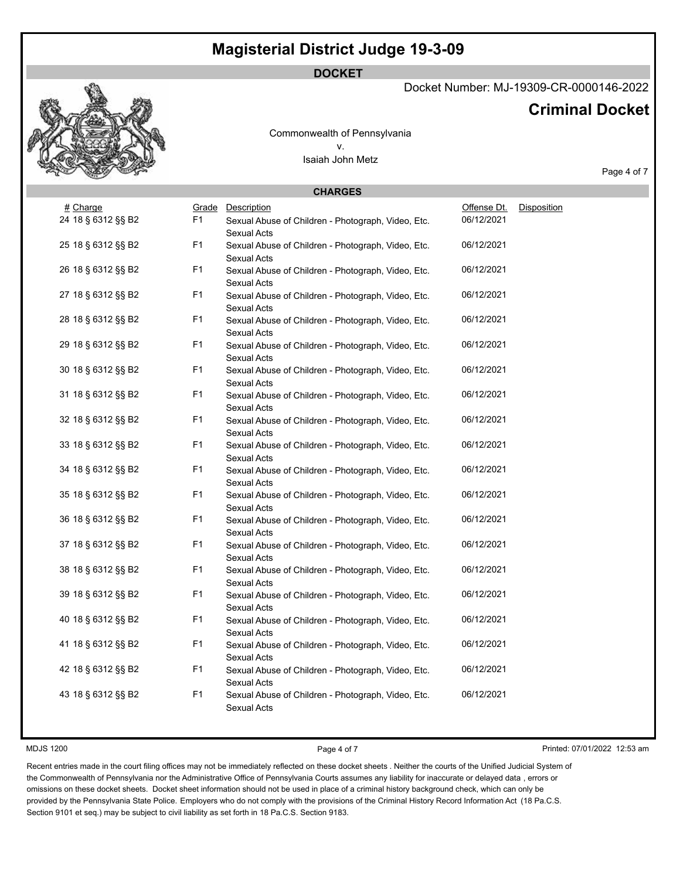## **DOCKET**

### Docket Number: MJ-19309-CR-0000146-2022

## **Criminal Docket**

Commonwealth of Pennsylvania v. Isaiah John Metz

Page 4 of 7

| <b>CHARGES</b>     |                |                                                                   |             |                    |  |  |  |  |
|--------------------|----------------|-------------------------------------------------------------------|-------------|--------------------|--|--|--|--|
| # Charge           | Grade          | Description                                                       | Offense Dt. | <b>Disposition</b> |  |  |  |  |
| 24 18 § 6312 §§ B2 | F <sub>1</sub> | Sexual Abuse of Children - Photograph, Video, Etc.<br>Sexual Acts | 06/12/2021  |                    |  |  |  |  |
| 25 18 § 6312 §§ B2 | F1             | Sexual Abuse of Children - Photograph, Video, Etc.<br>Sexual Acts | 06/12/2021  |                    |  |  |  |  |
| 26 18 § 6312 §§ B2 | F1             | Sexual Abuse of Children - Photograph, Video, Etc.<br>Sexual Acts | 06/12/2021  |                    |  |  |  |  |
| 27 18 § 6312 §§ B2 | F1             | Sexual Abuse of Children - Photograph, Video, Etc.<br>Sexual Acts | 06/12/2021  |                    |  |  |  |  |
| 28 18 § 6312 §§ B2 | F1             | Sexual Abuse of Children - Photograph, Video, Etc.<br>Sexual Acts | 06/12/2021  |                    |  |  |  |  |
| 29 18 § 6312 §§ B2 | F1             | Sexual Abuse of Children - Photograph, Video, Etc.<br>Sexual Acts | 06/12/2021  |                    |  |  |  |  |
| 30 18 § 6312 §§ B2 | F <sub>1</sub> | Sexual Abuse of Children - Photograph, Video, Etc.<br>Sexual Acts | 06/12/2021  |                    |  |  |  |  |
| 31 18 § 6312 §§ B2 | F1             | Sexual Abuse of Children - Photograph, Video, Etc.<br>Sexual Acts | 06/12/2021  |                    |  |  |  |  |
| 32 18 § 6312 §§ B2 | F1             | Sexual Abuse of Children - Photograph, Video, Etc.<br>Sexual Acts | 06/12/2021  |                    |  |  |  |  |
| 33 18 § 6312 §§ B2 | F1             | Sexual Abuse of Children - Photograph, Video, Etc.<br>Sexual Acts | 06/12/2021  |                    |  |  |  |  |
| 34 18 § 6312 §§ B2 | F1             | Sexual Abuse of Children - Photograph, Video, Etc.<br>Sexual Acts | 06/12/2021  |                    |  |  |  |  |
| 35 18 § 6312 §§ B2 | F <sub>1</sub> | Sexual Abuse of Children - Photograph, Video, Etc.<br>Sexual Acts | 06/12/2021  |                    |  |  |  |  |
| 36 18 § 6312 §§ B2 | F1             | Sexual Abuse of Children - Photograph, Video, Etc.<br>Sexual Acts | 06/12/2021  |                    |  |  |  |  |
| 37 18 § 6312 §§ B2 | F1             | Sexual Abuse of Children - Photograph, Video, Etc.<br>Sexual Acts | 06/12/2021  |                    |  |  |  |  |
| 38 18 § 6312 §§ B2 | F1             | Sexual Abuse of Children - Photograph, Video, Etc.<br>Sexual Acts | 06/12/2021  |                    |  |  |  |  |
| 39 18 § 6312 §§ B2 | F1             | Sexual Abuse of Children - Photograph, Video, Etc.<br>Sexual Acts | 06/12/2021  |                    |  |  |  |  |
| 40 18 § 6312 §§ B2 | F1             | Sexual Abuse of Children - Photograph, Video, Etc.<br>Sexual Acts | 06/12/2021  |                    |  |  |  |  |
| 41 18 § 6312 §§ B2 | F1             | Sexual Abuse of Children - Photograph, Video, Etc.<br>Sexual Acts | 06/12/2021  |                    |  |  |  |  |
| 42 18 § 6312 §§ B2 | F1             | Sexual Abuse of Children - Photograph, Video, Etc.<br>Sexual Acts | 06/12/2021  |                    |  |  |  |  |
| 43 18 § 6312 §§ B2 | F1             | Sexual Abuse of Children - Photograph, Video, Etc.<br>Sexual Acts | 06/12/2021  |                    |  |  |  |  |

MDJS 1200 **Page 4 of 7** Printed: 07/01/2022 12:53 am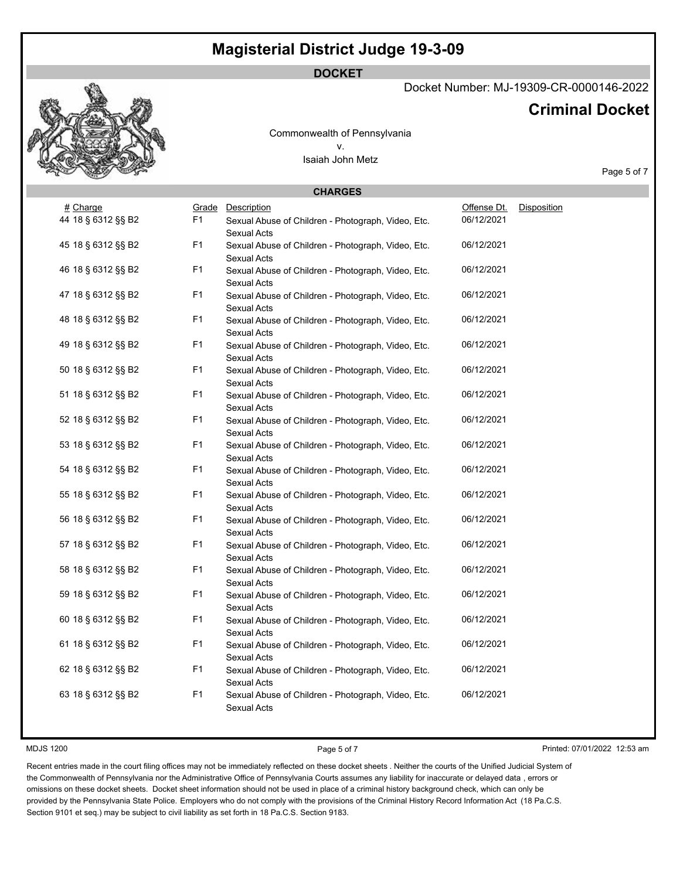## **DOCKET**

### Docket Number: MJ-19309-CR-0000146-2022

## **Criminal Docket**

Commonwealth of Pennsylvania v. Isaiah John Metz

Page 5 of 7

| <b>CHARGES</b>     |                |                                                                   |             |                    |  |  |  |  |
|--------------------|----------------|-------------------------------------------------------------------|-------------|--------------------|--|--|--|--|
| # Charge           | Grade          | Description                                                       | Offense Dt. | <b>Disposition</b> |  |  |  |  |
| 44 18 § 6312 §§ B2 | F <sub>1</sub> | Sexual Abuse of Children - Photograph, Video, Etc.<br>Sexual Acts | 06/12/2021  |                    |  |  |  |  |
| 45 18 § 6312 §§ B2 | F1             | Sexual Abuse of Children - Photograph, Video, Etc.<br>Sexual Acts | 06/12/2021  |                    |  |  |  |  |
| 46 18 § 6312 §§ B2 | F1             | Sexual Abuse of Children - Photograph, Video, Etc.<br>Sexual Acts | 06/12/2021  |                    |  |  |  |  |
| 47 18 § 6312 §§ B2 | F <sub>1</sub> | Sexual Abuse of Children - Photograph, Video, Etc.<br>Sexual Acts | 06/12/2021  |                    |  |  |  |  |
| 48 18 § 6312 §§ B2 | F1             | Sexual Abuse of Children - Photograph, Video, Etc.<br>Sexual Acts | 06/12/2021  |                    |  |  |  |  |
| 49 18 § 6312 §§ B2 | F1             | Sexual Abuse of Children - Photograph, Video, Etc.<br>Sexual Acts | 06/12/2021  |                    |  |  |  |  |
| 50 18 § 6312 §§ B2 | F <sub>1</sub> | Sexual Abuse of Children - Photograph, Video, Etc.<br>Sexual Acts | 06/12/2021  |                    |  |  |  |  |
| 51 18 § 6312 §§ B2 | F1             | Sexual Abuse of Children - Photograph, Video, Etc.<br>Sexual Acts | 06/12/2021  |                    |  |  |  |  |
| 52 18 § 6312 §§ B2 | F1             | Sexual Abuse of Children - Photograph, Video, Etc.<br>Sexual Acts | 06/12/2021  |                    |  |  |  |  |
| 53 18 § 6312 §§ B2 | F1             | Sexual Abuse of Children - Photograph, Video, Etc.<br>Sexual Acts | 06/12/2021  |                    |  |  |  |  |
| 54 18 § 6312 §§ B2 | F1             | Sexual Abuse of Children - Photograph, Video, Etc.<br>Sexual Acts | 06/12/2021  |                    |  |  |  |  |
| 55 18 § 6312 §§ B2 | F <sub>1</sub> | Sexual Abuse of Children - Photograph, Video, Etc.<br>Sexual Acts | 06/12/2021  |                    |  |  |  |  |
| 56 18 § 6312 §§ B2 | F1             | Sexual Abuse of Children - Photograph, Video, Etc.<br>Sexual Acts | 06/12/2021  |                    |  |  |  |  |
| 57 18 § 6312 §§ B2 | F1             | Sexual Abuse of Children - Photograph, Video, Etc.<br>Sexual Acts | 06/12/2021  |                    |  |  |  |  |
| 58 18 § 6312 §§ B2 | F <sub>1</sub> | Sexual Abuse of Children - Photograph, Video, Etc.<br>Sexual Acts | 06/12/2021  |                    |  |  |  |  |
| 59 18 § 6312 §§ B2 | F <sub>1</sub> | Sexual Abuse of Children - Photograph, Video, Etc.<br>Sexual Acts | 06/12/2021  |                    |  |  |  |  |
| 60 18 § 6312 §§ B2 | F1             | Sexual Abuse of Children - Photograph, Video, Etc.<br>Sexual Acts | 06/12/2021  |                    |  |  |  |  |
| 61 18 § 6312 §§ B2 | F1             | Sexual Abuse of Children - Photograph, Video, Etc.<br>Sexual Acts | 06/12/2021  |                    |  |  |  |  |
| 62 18 § 6312 §§ B2 | F1             | Sexual Abuse of Children - Photograph, Video, Etc.<br>Sexual Acts | 06/12/2021  |                    |  |  |  |  |
| 63 18 § 6312 §§ B2 | F <sub>1</sub> | Sexual Abuse of Children - Photograph, Video, Etc.<br>Sexual Acts | 06/12/2021  |                    |  |  |  |  |

MDJS 1200 **Page 5 of 7** Printed: 07/01/2022 12:53 am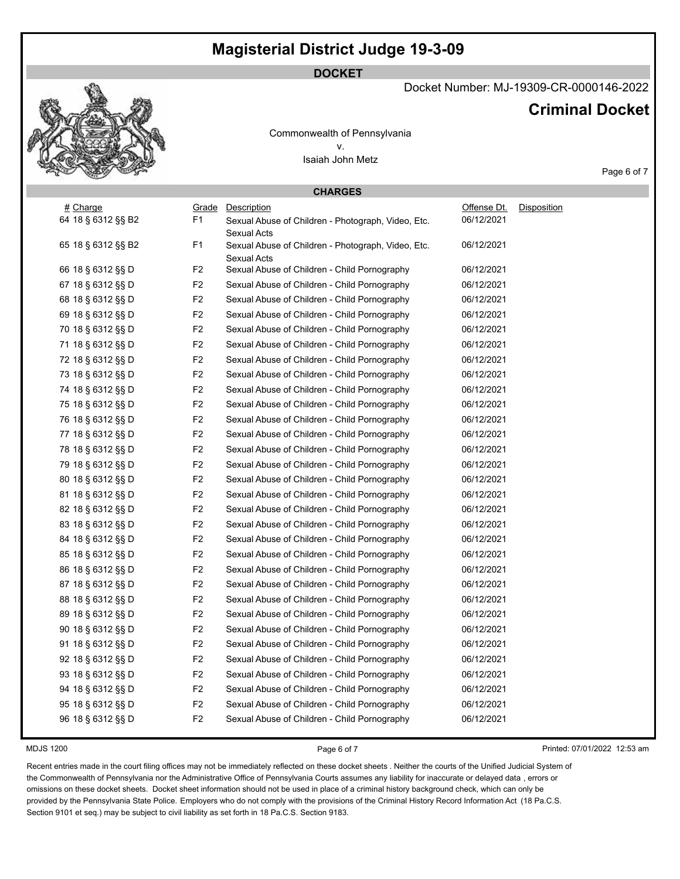### **DOCKET**

## Docket Number: MJ-19309-CR-0000146-2022

## **Criminal Docket**

Commonwealth of Pennsylvania v. Isaiah John Metz

| <b>CHARGES</b>     |                |                                                                          |             |                              |  |  |
|--------------------|----------------|--------------------------------------------------------------------------|-------------|------------------------------|--|--|
| # Charge           | Grade          | Description                                                              | Offense Dt. | Disposition                  |  |  |
| 64 18 § 6312 §§ B2 | F <sub>1</sub> | Sexual Abuse of Children - Photograph, Video, Etc.<br>Sexual Acts        | 06/12/2021  |                              |  |  |
| 65 18 § 6312 §§ B2 | F <sub>1</sub> | Sexual Abuse of Children - Photograph, Video, Etc.<br><b>Sexual Acts</b> | 06/12/2021  |                              |  |  |
| 66 18 § 6312 §§ D  | F <sub>2</sub> | Sexual Abuse of Children - Child Pornography                             | 06/12/2021  |                              |  |  |
| 67 18 § 6312 §§ D  | F <sub>2</sub> | Sexual Abuse of Children - Child Pornography                             | 06/12/2021  |                              |  |  |
| 68 18 § 6312 §§ D  | $\mathsf{F}2$  | Sexual Abuse of Children - Child Pornography                             | 06/12/2021  |                              |  |  |
| 69 18 § 6312 §§ D  | F <sub>2</sub> | Sexual Abuse of Children - Child Pornography                             | 06/12/2021  |                              |  |  |
| 70 18 § 6312 §§ D  | F <sub>2</sub> | Sexual Abuse of Children - Child Pornography                             | 06/12/2021  |                              |  |  |
| 71 18 § 6312 §§ D  | F <sub>2</sub> | Sexual Abuse of Children - Child Pornography                             | 06/12/2021  |                              |  |  |
| 72 18 § 6312 §§ D  | F <sub>2</sub> | Sexual Abuse of Children - Child Pornography                             | 06/12/2021  |                              |  |  |
| 73 18 § 6312 §§ D  | F <sub>2</sub> | Sexual Abuse of Children - Child Pornography                             | 06/12/2021  |                              |  |  |
| 74 18 § 6312 §§ D  | F <sub>2</sub> | Sexual Abuse of Children - Child Pornography                             | 06/12/2021  |                              |  |  |
| 75 18 § 6312 §§ D  | F <sub>2</sub> | Sexual Abuse of Children - Child Pornography                             | 06/12/2021  |                              |  |  |
| 76 18 § 6312 §§ D  | F <sub>2</sub> | Sexual Abuse of Children - Child Pornography                             | 06/12/2021  |                              |  |  |
| 77 18 § 6312 §§ D  | F <sub>2</sub> | Sexual Abuse of Children - Child Pornography                             | 06/12/2021  |                              |  |  |
| 78 18 § 6312 §§ D  | F <sub>2</sub> | Sexual Abuse of Children - Child Pornography                             | 06/12/2021  |                              |  |  |
| 79 18 § 6312 §§ D  | F <sub>2</sub> | Sexual Abuse of Children - Child Pornography                             | 06/12/2021  |                              |  |  |
| 80 18 § 6312 §§ D  | F <sub>2</sub> | Sexual Abuse of Children - Child Pornography                             | 06/12/2021  |                              |  |  |
| 81 18 § 6312 §§ D  | F <sub>2</sub> | Sexual Abuse of Children - Child Pornography                             | 06/12/2021  |                              |  |  |
| 82 18 § 6312 §§ D  | F <sub>2</sub> | Sexual Abuse of Children - Child Pornography                             | 06/12/2021  |                              |  |  |
| 83 18 § 6312 §§ D  | F <sub>2</sub> | Sexual Abuse of Children - Child Pornography                             | 06/12/2021  |                              |  |  |
| 84 18 § 6312 §§ D  | F <sub>2</sub> | Sexual Abuse of Children - Child Pornography                             | 06/12/2021  |                              |  |  |
| 85 18 § 6312 §§ D  | F <sub>2</sub> | Sexual Abuse of Children - Child Pornography                             | 06/12/2021  |                              |  |  |
| 86 18 § 6312 §§ D  | F <sub>2</sub> | Sexual Abuse of Children - Child Pornography                             | 06/12/2021  |                              |  |  |
| 87 18 § 6312 §§ D  | F <sub>2</sub> | Sexual Abuse of Children - Child Pornography                             | 06/12/2021  |                              |  |  |
| 88 18 § 6312 §§ D  | F <sub>2</sub> | Sexual Abuse of Children - Child Pornography                             | 06/12/2021  |                              |  |  |
| 89 18 § 6312 §§ D  | F <sub>2</sub> | Sexual Abuse of Children - Child Pornography                             | 06/12/2021  |                              |  |  |
| 90 18 § 6312 §§ D  | F <sub>2</sub> | Sexual Abuse of Children - Child Pornography                             | 06/12/2021  |                              |  |  |
| 91 18 § 6312 §§ D  | F <sub>2</sub> | Sexual Abuse of Children - Child Pornography                             | 06/12/2021  |                              |  |  |
| 92 18 § 6312 §§ D  | F <sub>2</sub> | Sexual Abuse of Children - Child Pornography                             | 06/12/2021  |                              |  |  |
| 93 18 § 6312 §§ D  | F <sub>2</sub> | Sexual Abuse of Children - Child Pornography                             | 06/12/2021  |                              |  |  |
| 94 18 § 6312 §§ D  | F <sub>2</sub> | Sexual Abuse of Children - Child Pornography                             | 06/12/2021  |                              |  |  |
| 95 18 § 6312 §§ D  | F <sub>2</sub> | Sexual Abuse of Children - Child Pornography                             | 06/12/2021  |                              |  |  |
| 96 18 § 6312 §§ D  | F <sub>2</sub> | Sexual Abuse of Children - Child Pornography                             | 06/12/2021  |                              |  |  |
| <b>MDJS 1200</b>   |                | Page 6 of 7                                                              |             | Printed: 07/01/2022 12:53 am |  |  |